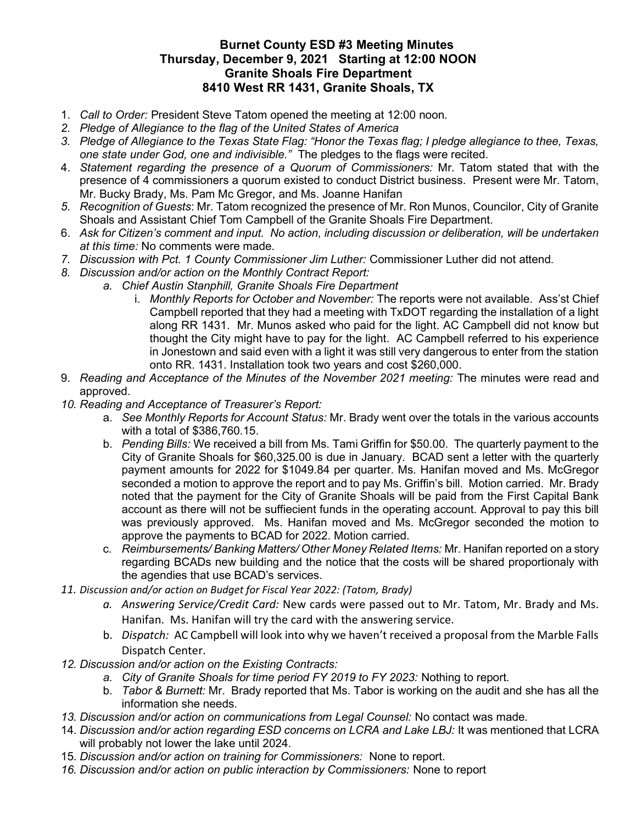## Burnet County ESD #3 Meeting Minutes Thursday, December 9, 2021 Starting at 12:00 NOON Granite Shoals Fire Department 8410 West RR 1431, Granite Shoals, TX

- 1. Call to Order: President Steve Tatom opened the meeting at 12:00 noon.
- 2. Pledge of Allegiance to the flag of the United States of America
- 3. Pledge of Allegiance to the Texas State Flag: "Honor the Texas flag; I pledge allegiance to thee, Texas, one state under God, one and indivisible." The pledges to the flags were recited.
- 4. Statement regarding the presence of a Quorum of Commissioners: Mr. Tatom stated that with the presence of 4 commissioners a quorum existed to conduct District business. Present were Mr. Tatom, Mr. Bucky Brady, Ms. Pam Mc Gregor, and Ms. Joanne Hanifan
- 5. Recognition of Guests: Mr. Tatom recognized the presence of Mr. Ron Munos, Councilor, City of Granite Shoals and Assistant Chief Tom Campbell of the Granite Shoals Fire Department.
- 6. Ask for Citizen's comment and input. No action, including discussion or deliberation, will be undertaken at this time: No comments were made.
- 7. Discussion with Pct. 1 County Commissioner Jim Luther: Commissioner Luther did not attend.
- 8. Discussion and/or action on the Monthly Contract Report:
	- a. Chief Austin Stanphill, Granite Shoals Fire Department
		- i. Monthly Reports for October and November: The reports were not available. Ass'st Chief Campbell reported that they had a meeting with TxDOT regarding the installation of a light along RR 1431. Mr. Munos asked who paid for the light. AC Campbell did not know but thought the City might have to pay for the light. AC Campbell referred to his experience in Jonestown and said even with a light it was still very dangerous to enter from the station onto RR. 1431. Installation took two years and cost \$260,000.
- 9. Reading and Acceptance of the Minutes of the November 2021 meeting: The minutes were read and approved.
- 10. Reading and Acceptance of Treasurer's Report:
	- a. See Monthly Reports for Account Status: Mr. Brady went over the totals in the various accounts with a total of \$386,760.15.
	- b. Pending Bills: We received a bill from Ms. Tami Griffin for \$50.00. The quarterly payment to the City of Granite Shoals for \$60,325.00 is due in January. BCAD sent a letter with the quarterly payment amounts for 2022 for \$1049.84 per quarter. Ms. Hanifan moved and Ms. McGregor seconded a motion to approve the report and to pay Ms. Griffin's bill. Motion carried. Mr. Brady noted that the payment for the City of Granite Shoals will be paid from the First Capital Bank account as there will not be suffiecient funds in the operating account. Approval to pay this bill was previously approved. Ms. Hanifan moved and Ms. McGregor seconded the motion to approve the payments to BCAD for 2022. Motion carried.
	- c. Reimbursements/ Banking Matters/ Other Money Related Items: Mr. Hanifan reported on a story regarding BCADs new building and the notice that the costs will be shared proportionaly with the agendies that use BCAD's services.
- 11. Discussion and/or action on Budget for Fiscal Year 2022: (Tatom, Brady)
	- a. Answering Service/Credit Card: New cards were passed out to Mr. Tatom, Mr. Brady and Ms. Hanifan. Ms. Hanifan will try the card with the answering service.
	- b. Dispatch: AC Campbell will look into why we haven't received a proposal from the Marble Falls Dispatch Center.
- 12. Discussion and/or action on the Existing Contracts:
	- a. City of Granite Shoals for time period FY 2019 to FY 2023: Nothing to report.
	- b. Tabor & Burnett: Mr. Brady reported that Ms. Tabor is working on the audit and she has all the information she needs.
- 13. Discussion and/or action on communications from Legal Counsel: No contact was made.
- 14. Discussion and/or action regarding ESD concerns on LCRA and Lake LBJ: It was mentioned that LCRA will probably not lower the lake until 2024.
- 15. Discussion and/or action on training for Commissioners: None to report.
- 16. Discussion and/or action on public interaction by Commissioners: None to report